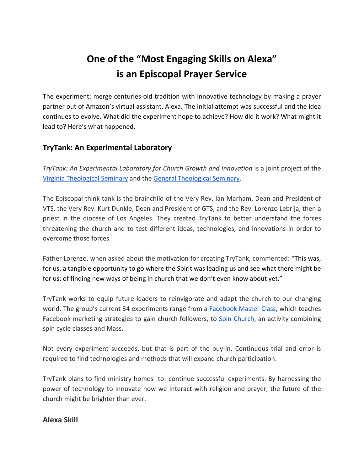# **One of the "Most Engaging Skills on Alexa" is an Episcopal Prayer Service**

The experiment: merge centuries-old tradition with innovative technology by making a prayer partner out of Amazon's virtual assistant, Alexa. The initial attempt was successful and the idea continues to evolve. What did the experiment hope to achieve? How did it work? What might it lead to? Here's what happened.

## **TryTank: An Experimental Laboratory**

*TryTank: An Experimental Laboratory for Church Growth and Innovation* is a joint project of the [Virginia Theological Seminary](https://www.vts.edu/) and the [General Theological Seminary.](http://gts.edu/)

The Episcopal think tank is the brainchild of the Very Rev. Ian Marham, Dean and President of VTS, the Very Rev. Kurt Dunkle, Dean and President of GTS, and the Rev. Lorenzo Lebrija, then a priest in the diocese of Los Angeles. They created TryTank to better understand the forces threatening the church and to test different ideas, technologies, and innovations in order to overcome those forces.

Father Lorenzo, when asked about the motivation for creating TryTank, commented: "This was, for us, a tangible opportunity to go where the Spirit was leading us and see what there might be for us; of finding new ways of being in church that we don't even know about yet."

TryTank works to equip future leaders to reinvigorate and adapt the church to our changing world. The group's current 34 experiments range from a [Facebook Master Class,](https://www.trytank.org/facebook-master-class.html) which teaches Facebook marketing strategies to gain church followers, to **Spin Church**, an activity combining spin cycle classes and Mass.

Not every experiment succeeds, but that is part of the buy-in. Continuous trial and error is required to find technologies and methods that will expand church participation.

TryTank plans to find ministry homes to continue successful experiments. By harnessing the power of technology to innovate how we interact with religion and prayer, the future of the church might be brighter than ever.

#### **Alexa Skill**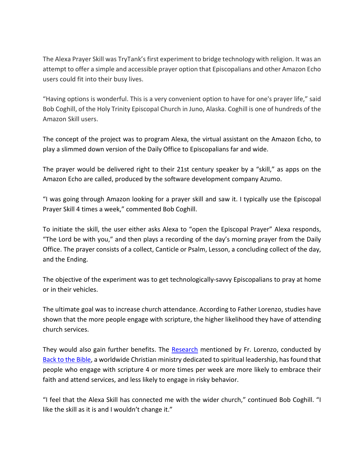The Alexa Prayer Skill was TryTank's first experiment to bridge technology with religion. It was an attempt to offer a simple and accessible prayer option that Episcopalians and other Amazon Echo users could fit into their busy lives.

"Having options is wonderful. This is a very convenient option to have for one's prayer life," said Bob Coghill, of the Holy Trinity Episcopal Church in Juno, Alaska. Coghill is one of hundreds of the Amazon Skill users.

The concept of the project was to program Alexa, the virtual assistant on the Amazon Echo, to play a slimmed down version of the Daily Office to Episcopalians far and wide.

The prayer would be delivered right to their 21st century speaker by a "skill," as apps on the Amazon Echo are called, produced by the software development company Azumo.

"I was going through Amazon looking for a prayer skill and saw it. I typically use the Episcopal Prayer Skill 4 times a week," commented Bob Coghill.

To initiate the skill, the user either asks Alexa to "open the Episcopal Prayer" Alexa responds, "The Lord be with you," and then plays a recording of the day's morning prayer from the Daily Office. The prayer consists of a collect, Canticle or Psalm, Lesson, a concluding collect of the day, and the Ending.

The objective of the experiment was to get technologically-savvy Episcopalians to pray at home or in their vehicles.

The ultimate goal was to increase church attendance. According to Father Lorenzo, studies have shown that the more people engage with scripture, the higher likelihood they have of attending church services.

They would also gain further benefits. The [Research](https://bttbfiles.com/web/docs/cbe/Scientific_Evidence_for_the_Power_of_4.pdf) mentioned by Fr. Lorenzo, conducted by [Back to the Bible,](https://www.backtothebible.org/) [a worldwide Christian ministry](https://www.backtothebible.org/international) dedicated to spiritual leadership, has found that people who engage with scripture 4 or more times per week are more likely to embrace their faith and attend services, and less likely to engage in risky behavior.

"I feel that the Alexa Skill has connected me with the wider church," continued Bob Coghill. "I like the skill as it is and I wouldn't change it."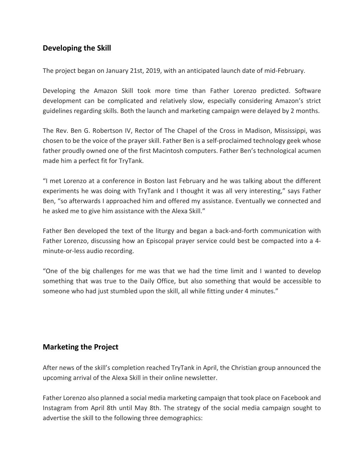## **Developing the Skill**

The project began on January 21st, 2019, with an anticipated launch date of mid-February.

Developing the Amazon Skill took more time than Father Lorenzo predicted. Software development can be complicated and relatively slow, especially considering Amazon's strict guidelines regarding skills. Both the launch and marketing campaign were delayed by 2 months.

The Rev. Ben G. Robertson IV, Rector of The Chapel of the Cross in Madison, Mississippi, was chosen to be the voice of the prayer skill. Father Ben is a self-proclaimed technology geek whose father proudly owned one of the first Macintosh computers. Father Ben's technological acumen made him a perfect fit for TryTank.

"I met Lorenzo at a conference in Boston last February and he was talking about the different experiments he was doing with TryTank and I thought it was all very interesting," says Father Ben, "so afterwards I approached him and offered my assistance. Eventually we connected and he asked me to give him assistance with the Alexa Skill."

Father Ben developed the text of the liturgy and began a back-and-forth communication with Father Lorenzo, discussing how an Episcopal prayer service could best be compacted into a 4 minute-or-less audio recording.

"One of the big challenges for me was that we had the time limit and I wanted to develop something that was true to the Daily Office, but also something that would be accessible to someone who had just stumbled upon the skill, all while fitting under 4 minutes."

#### **Marketing the Project**

After news of the skill's completion reached TryTank in April, the Christian group announced the upcoming arrival of the Alexa Skill in their online newsletter.

Father Lorenzo also planned a social media marketing campaign that took place on Facebook and Instagram from April 8th until May 8th. The strategy of the social media campaign sought to advertise the skill to the following three demographics: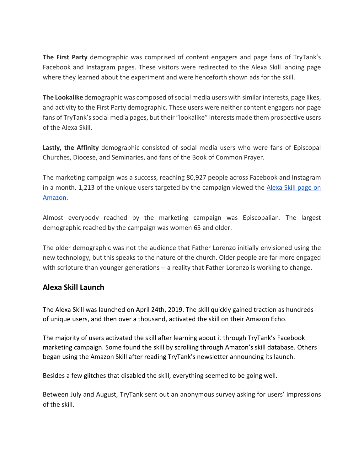**The First Party** demographic was comprised of content engagers and page fans of TryTank's Facebook and Instagram pages. These visitors were redirected to the Alexa Skill landing page where they learned about the experiment and were henceforth shown ads for the skill.

**The Lookalike** demographic was composed of social media users with similar interests, page likes, and activity to the First Party demographic. These users were neither content engagers nor page fans of TryTank's social media pages, but their "lookalike" interests made them prospective users of the Alexa Skill.

**Lastly, the Affinity** demographic consisted of social media users who were fans of Episcopal Churches, Diocese, and Seminaries, and fans of the Book of Common Prayer.

The marketing campaign was a success, reaching 80,927 people across Facebook and Instagram in a month. 1,213 of the unique users targeted by the campaign viewed the [Alexa Skill page on](https://www.amazon.com/dp/B07PLB1YZY/?ref-suffix=ss_copy)  [Amazon.](https://www.amazon.com/dp/B07PLB1YZY/?ref-suffix=ss_copy)

Almost everybody reached by the marketing campaign was Episcopalian. The largest demographic reached by the campaign was women 65 and older.

The older demographic was not the audience that Father Lorenzo initially envisioned using the new technology, but this speaks to the nature of the church. Older people are far more engaged with scripture than younger generations -- a reality that Father Lorenzo is working to change.

#### **Alexa Skill Launch**

The Alexa Skill was launched on April 24th, 2019. The skill quickly gained traction as hundreds of unique users, and then over a thousand, activated the skill on their Amazon Echo.

The majority of users activated the skill after learning about it through TryTank's Facebook marketing campaign. Some found the skill by scrolling through Amazon's skill database. Others began using the Amazon Skill after reading TryTank's newsletter announcing its launch.

Besides a few glitches that disabled the skill, everything seemed to be going well.

Between July and August, TryTank sent out an anonymous survey asking for users' impressions of the skill.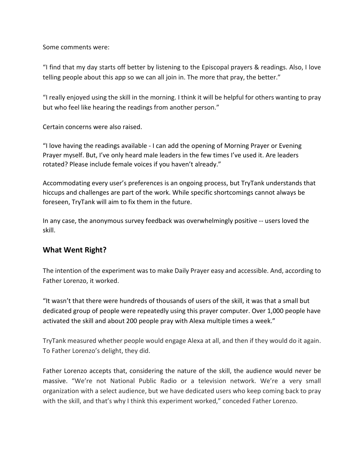Some comments were:

"I find that my day starts off better by listening to the Episcopal prayers & readings. Also, I love telling people about this app so we can all join in. The more that pray, the better."

"I really enjoyed using the skill in the morning. I think it will be helpful for others wanting to pray but who feel like hearing the readings from another person."

Certain concerns were also raised.

"I love having the readings available - I can add the opening of Morning Prayer or Evening Prayer myself. But, I've only heard male leaders in the few times I've used it. Are leaders rotated? Please include female voices if you haven't already."

Accommodating every user's preferences is an ongoing process, but TryTank understands that hiccups and challenges are part of the work. While specific shortcomings cannot always be foreseen, TryTank will aim to fix them in the future.

In any case, the anonymous survey feedback was overwhelmingly positive -- users loved the skill.

#### **What Went Right?**

The intention of the experiment was to make Daily Prayer easy and accessible. And, according to Father Lorenzo, it worked.

"It wasn't that there were hundreds of thousands of users of the skill, it was that a small but dedicated group of people were repeatedly using this prayer computer. Over 1,000 people have activated the skill and about 200 people pray with Alexa multiple times a week."

TryTank measured whether people would engage Alexa at all, and then if they would do it again. To Father Lorenzo's delight, they did.

Father Lorenzo accepts that, considering the nature of the skill, the audience would never be massive. "We're not National Public Radio or a television network. We're a very small organization with a select audience, but we have dedicated users who keep coming back to pray with the skill, and that's why I think this experiment worked," conceded Father Lorenzo.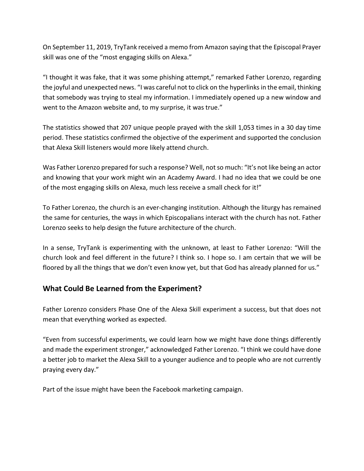On September 11, 2019, TryTank received a memo from Amazon saying that the Episcopal Prayer skill was one of the "most engaging skills on Alexa."

"I thought it was fake, that it was some phishing attempt," remarked Father Lorenzo, regarding the joyful and unexpected news. "I was careful not to click on the hyperlinks in the email, thinking that somebody was trying to steal my information. I immediately opened up a new window and went to the Amazon website and, to my surprise, it was true."

The statistics showed that 207 unique people prayed with the skill 1,053 times in a 30 day time period. These statistics confirmed the objective of the experiment and supported the conclusion that Alexa Skill listeners would more likely attend church.

Was Father Lorenzo prepared for such a response? Well, not so much: "It's not like being an actor and knowing that your work might win an Academy Award. I had no idea that we could be one of the most engaging skills on Alexa, much less receive a small check for it!"

To Father Lorenzo, the church is an ever-changing institution. Although the liturgy has remained the same for centuries, the ways in which Episcopalians interact with the church has not. Father Lorenzo seeks to help design the future architecture of the church.

In a sense, TryTank is experimenting with the unknown, at least to Father Lorenzo: "Will the church look and feel different in the future? I think so. I hope so. I am certain that we will be floored by all the things that we don't even know yet, but that God has already planned for us."

# **What Could Be Learned from the Experiment?**

Father Lorenzo considers Phase One of the Alexa Skill experiment a success, but that does not mean that everything worked as expected.

"Even from successful experiments, we could learn how we might have done things differently and made the experiment stronger," acknowledged Father Lorenzo. "I think we could have done a better job to market the Alexa Skill to a younger audience and to people who are not currently praying every day."

Part of the issue might have been the Facebook marketing campaign.